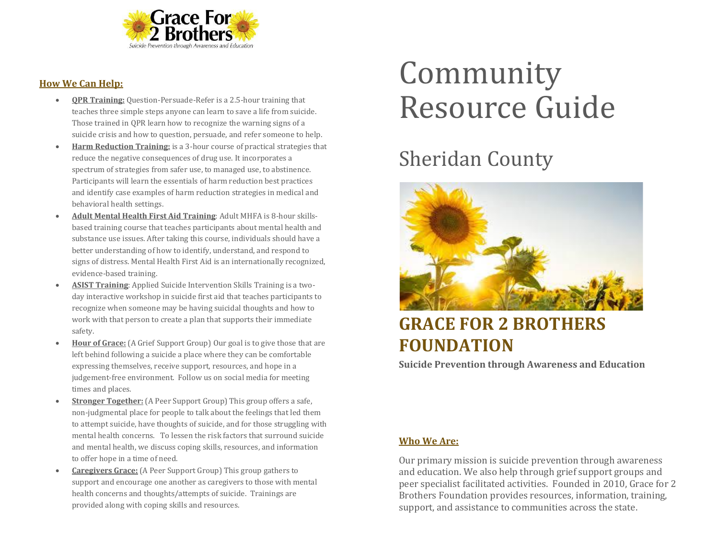

#### **How We Can Help:**

- **QPR Training:** Question-Persuade-Refer is a 2.5-hour training that teaches three simple steps anyone can learn to save a life from suicide. Those trained in QPR learn how to recognize the warning signs of a suicide crisis and how to question, persuade, and refer someone to help.
- **Harm Reduction Training:** is a 3-hour course of practical strategies that reduce the negative consequences of drug use. It incorporates a spectrum of strategies from safer use, to managed use, to abstinence. Participants will learn the essentials of harm reduction best practices and identify case examples of harm reduction strategies in medical and behavioral health settings.
- **Adult Mental Health First Aid Training**: Adult MHFA is 8-hour skillsbased training course that teaches participants about mental health and substance use issues. After taking this course, individuals should have a better understanding of how to identify, understand, and respond to signs of distress. Mental Health First Aid is an internationally recognized, evidence-based training.
- **ASIST Training**: Applied Suicide Intervention Skills Training is a twoday interactive workshop in suicide first aid that teaches participants to recognize when someone may be having suicidal thoughts and how to work with that person to create a plan that supports their immediate safety.
- **Hour of Grace:** (A Grief Support Group) Our goal is to give those that are left behind following a suicide a place where they can be comfortable expressing themselves, receive support, resources, and hope in a judgement-free environment. Follow us on social media for meeting times and places.
- **Stronger Together:** (A Peer Support Group) This group offers a safe, non-judgmental place for people to talk about the feelings that led them to attempt suicide, have thoughts of suicide, and for those struggling with mental health concerns. To lessen the risk factors that surround suicide and mental health, we discuss coping skills, resources, and information to offer hope in a time of need.
- **Caregivers Grace:** (A Peer Support Group) This group gathers to support and encourage one another as caregivers to those with mental health concerns and thoughts/attempts of suicide. Trainings are provided along with coping skills and resources.

# Community Resource Guide

## Sheridan County



### **GRACE FOR 2 BROTHERS FOUNDATION**

**Suicide Prevention through Awareness and Education**

#### **Who We Are:**

Our primary mission is suicide prevention through awareness and education. We also help through grief support groups and peer specialist facilitated activities. Founded in 2010, Grace for 2 Brothers Foundation provides resources, information, training, support, and assistance to communities across the state.